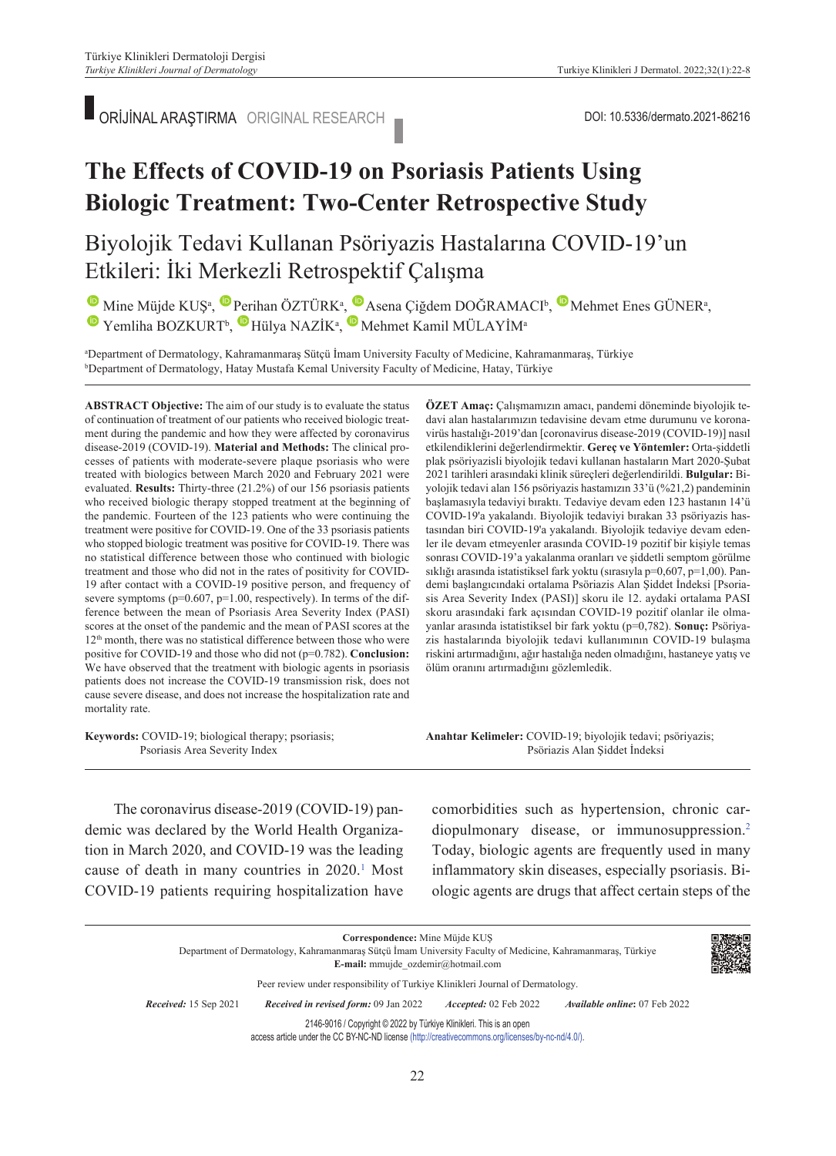ORİJİNAL ARAŞTIRMA ORIGINAL RESEARCH DOI: 10.5336/dermato.2021-86216

## **The Effects of COVID-19 on Psoriasis Patients Using Biologic Treatment: Two-Center Retrospective Study**

### Biyolojik Tedavi Kullanan Psöriyazis Hastalarına COVID-19'un Etkileri: İki Merkezli Retrospektif Çalışma

MineMüjde KUŞ<sup>a</sup>, Perihan ÖZTÜRK<sup>a</sup>, Pasena Çiğdem DOĞRAMACI<sup>b</sup>, Perihan GÜNER<sup>a</sup>, YemlihaBOZKURT<sup>b</sup>, Hülya NAZİK<sup>a</sup>, Mehmet Kamil MÜLAYİM<sup>a</sup>

"Department of Dermatology, Kahramanmaraş Sütçü İmam University Faculty of Medicine, Kahramanmaraş, Türkiye<br>"Department of Dermatology, Hatay Mustafa Kemal University Faculty of Medicine, Hatay, Türkiye <sup>b</sup>Department of Dermatology, Hatay Mustafa Kemal University Faculty of Medicine, Hatay, Türkiye

**ABS TRACT Objective:** The aim of our study is to evaluate the status of continuation of treatment of our patients who received biologic treatment during the pandemic and how they were affected by coronavirus disease-2019 (COVID-19). **Material and Methods:** The clinical processes of patients with moderate-severe plaque psoriasis who were treated with biologics between March 2020 and February 2021 were evaluated. **Results:** Thirty-three (21.2%) of our 156 psoriasis patients who received biologic therapy stopped treatment at the beginning of the pandemic. Fourteen of the 123 patients who were continuing the treatment were positive for COVID-19. One of the 33 psoriasis patients who stopped biologic treatment was positive for COVID-19. There was no statistical difference between those who continued with biologic treatment and those who did not in the rates of positivity for COVID-19 after contact with a COVID-19 positive person, and frequency of severe symptoms (p=0.607, p=1.00, respectively). In terms of the difference between the mean of Psoriasis Area Severity Index (PASI) scores at the onset of the pandemic and the mean of PASI scores at the 12<sup>th</sup> month, there was no statistical difference between those who were positive for COVID-19 and those who did not (p=0.782). **Conclusion:**  We have observed that the treatment with biologic agents in psoriasis patients does not increase the COVID-19 transmission risk, does not cause severe disease, and does not increase the hospitalization rate and mortality rate.

**Keywords:** COVID-19; biological therapy; psoriasis; Psoriasis Area Severity Index

**ÖZET Amaç:** Çalışmamızın amacı, pandemi döneminde biyolojik tedavi alan hastalarımızın tedavisine devam etme durumunu ve koronavirüs hastalığı-2019'dan [coronavirus disease-2019 (COVID-19)] nasıl etkilendiklerini değerlendirmektir. **Gereç ve Yöntemler:** Orta-şiddetli plak psöriyazisli biyolojik tedavi kullanan hastaların Mart 2020-Şubat 2021 tarihleri arasındaki klinik süreçleri değerlendirildi. **Bulgular:** Biyolojik tedavi alan 156 psöriyazis hastamızın 33'ü (%21,2) pandeminin başlamasıyla tedaviyi bıraktı. Tedaviye devam eden 123 hastanın 14'ü COVID-19'a yakalandı. Biyolojik tedaviyi bırakan 33 psöriyazis hastasından biri COVID-19'a yakalandı. Biyolojik tedaviye devam edenler ile devam etmeyenler arasında COVID-19 pozitif bir kişiyle temas sonrası COVID-19'a yakalanma oranları ve şiddetli semptom görülme sıklığı arasında istatistiksel fark yoktu (sırasıyla p=0,607, p=1,00). Pandemi başlangıcındaki ortalama Psöriazis Alan Şiddet İndeksi [Psoriasis Area Severity Index (PASI)] skoru ile 12. aydaki ortalama PASI skoru arasındaki fark açısından COVID-19 pozitif olanlar ile olmayanlar arasında istatistiksel bir fark yoktu (p=0,782). **Sonuç:** Psöriyazis hastalarında biyolojik tedavi kullanımının COVID-19 bulaşma riskini artırmadığını, ağır hastalığa neden olmadığını, hastaneye yatış ve ölüm oranını artırmadığını gözlemledik.

**Anah tar Ke li me ler:** COVID-19; biyolojik tedavi; psöriyazis; Psöriazis Alan Şiddet İndeksi

The coronavirus disease-2019 (COVID-19) pandemic was declared by the World Health Organization in March 2020, and COVID-19 was the leading cause of death in many countries in 2020.<sup>1</sup> Most COVID-19 patients requiring hospitalization have

comorbidities such as hypertension, chronic cardiopulmonary disease, or immunosuppression.<sup>2</sup> Today, biologic agents are frequently used in many inflammatory skin diseases, especially psoriasis. Biologic agents are drugs that affect certain steps of the

**Correspondence:** Mine Müjde KUŞ Department of Dermatology, Kahramanmaraş Sütçü İmam University Faculty of Medicine, Kahramanmaraş, Türkiye **E-mail:** mmujde\_ozdemir@hotmail.com Peer review under responsibility of Turkiye Klinikleri Journal of Dermatology. *Re ce i ved:* 15 Sep 2021 *Received in revised form:* 09 Jan 2022 *Ac cep ted:* 02 Feb 2022 *Available online***:** 07 Feb 2022 2146-9016 / Copyright © 2022 by Türkiye Klinikleri. This is an open access article under the CC BY-NC-ND license [\(http://creativecommons.org/licenses/by-nc-nd/4.0/\)](https://creativecommons.org/licenses/by-nc-nd/4.0/).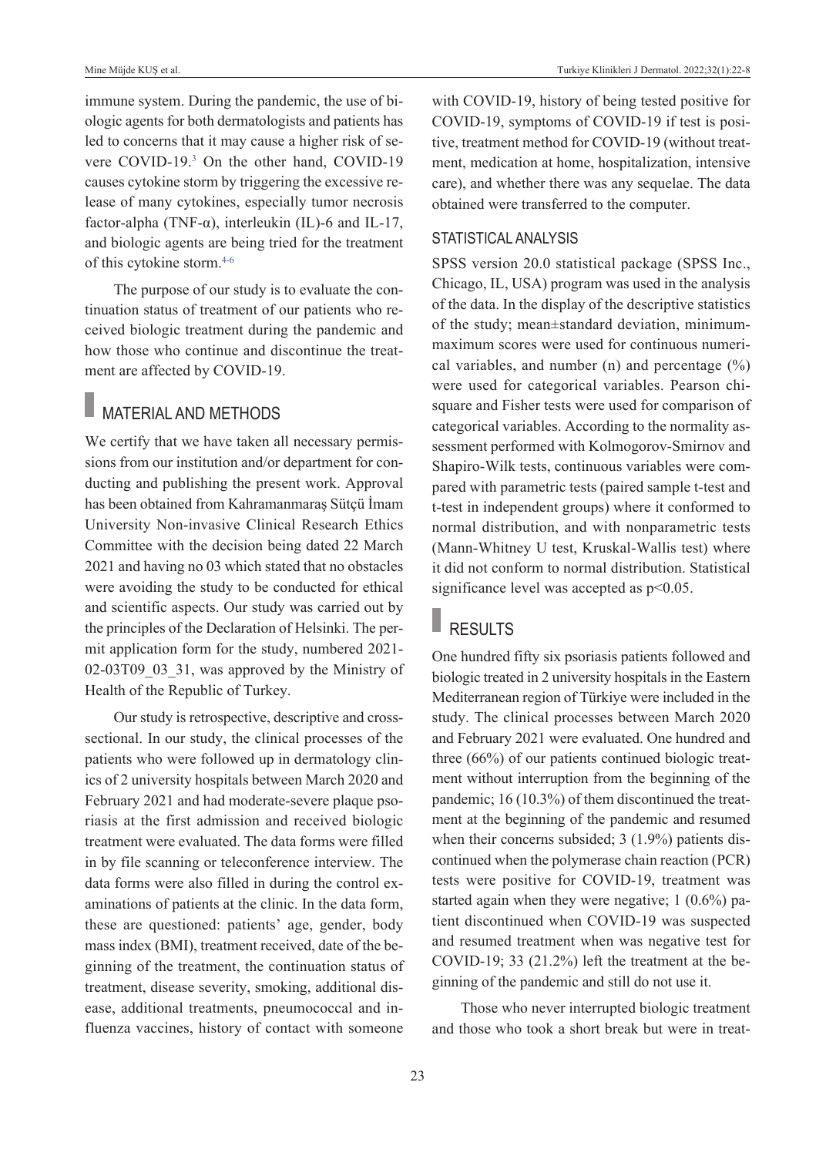immune system. During the pandemic, the use of biologic agents for both dermatologists and patients has led to concerns that it may cause a higher risk of severe COVID-19.<sup>3</sup> On the other hand, COVID-19 causes cytokine storm by triggering the excessive release of many cytokines, especially tumor necrosis factor-alpha (TNF- $\alpha$ ), interleukin (IL)-6 and IL-17, and biologic agents are being tried for the treatment of this cytokine storm[.4-6](#page-6-0)

The purpose of our study is to evaluate the continuation status of treatment of our patients who received biologic treatment during the pandemic and how those who continue and discontinue the treatment are affected by COVID-19.

### **MATERIAL AND METHODS**

We certify that we have taken all necessary permissions from our institution and/or department for conducting and publishing the present work. Approval has been obtained from Kahramanmaraş Sütçü İmam University Non-invasive Clinical Research Ethics Committee with the decision being dated 22 March 2021 and having no 03 which stated that no obstacles were avoiding the study to be conducted for ethical and scientific aspects. Our study was carried out by the principles of the Declaration of Helsinki. The permit application form for the study, numbered 2021- 02-03T09 03 31, was approved by the Ministry of Health of the Republic of Turkey.

Our study is retrospective, descriptive and crosssectional. In our study, the clinical processes of the patients who were followed up in dermatology clinics of 2 university hospitals between March 2020 and February 2021 and had moderate-severe plaque psoriasis at the first admission and received biologic treatment were evaluated. The data forms were filled in by file scanning or teleconference interview. The data forms were also filled in during the control examinations of patients at the clinic. In the data form, these are questioned: patients' age, gender, body mass index (BMI), treatment received, date of the beginning of the treatment, the continuation status of treatment, disease severity, smoking, additional disease, additional treatments, pneumococcal and influenza vaccines, history of contact with someone with COVID-19, history of being tested positive for COVID-19, symptoms of COVID-19 if test is positive, treatment method for COVID-19 (without treatment, medication at home, hospitalization, intensive care), and whether there was any sequelae. The data obtained were transferred to the computer.

#### STATISTICAL ANALYSIS

SPSS version 20.0 statistical package (SPSS Inc., Chicago, IL, USA) program was used in the analysis of the data. In the display of the descriptive statistics of the study; mean±standard deviation, minimummaximum scores were used for continuous numerical variables, and number (n) and percentage  $(\%)$ were used for categorical variables. Pearson chisquare and Fisher tests were used for comparison of categorical variables. According to the normality assessment performed with Kolmogorov-Smirnov and Shapiro-Wilk tests, continuous variables were compared with parametric tests (paired sample t-test and t-test in independent groups) where it conformed to normal distribution, and with nonparametric tests (Mann-Whitney U test, Kruskal-Wallis test) where it did not conform to normal distribution. Statistical significance level was accepted as  $p<0.05$ .

### RESULTS

One hundred fifty six psoriasis patients followed and biologic treated in 2 university hospitals in the Eastern Mediterranean region of Türkiye were included in the study. The clinical processes between March 2020 and February 2021 were evaluated. One hundred and three (66%) of our patients continued biologic treatment without interruption from the beginning of the pandemic; 16 (10.3%) of them discontinued the treatment at the beginning of the pandemic and resumed when their concerns subsided; 3 (1.9%) patients discontinued when the polymerase chain reaction (PCR) tests were positive for COVID-19, treatment was started again when they were negative; 1 (0.6%) patient discontinued when COVID-19 was suspected and resumed treatment when was negative test for COVID-19; 33 (21.2%) left the treatment at the beginning of the pandemic and still do not use it.

Those who never interrupted biologic treatment and those who took a short break but were in treat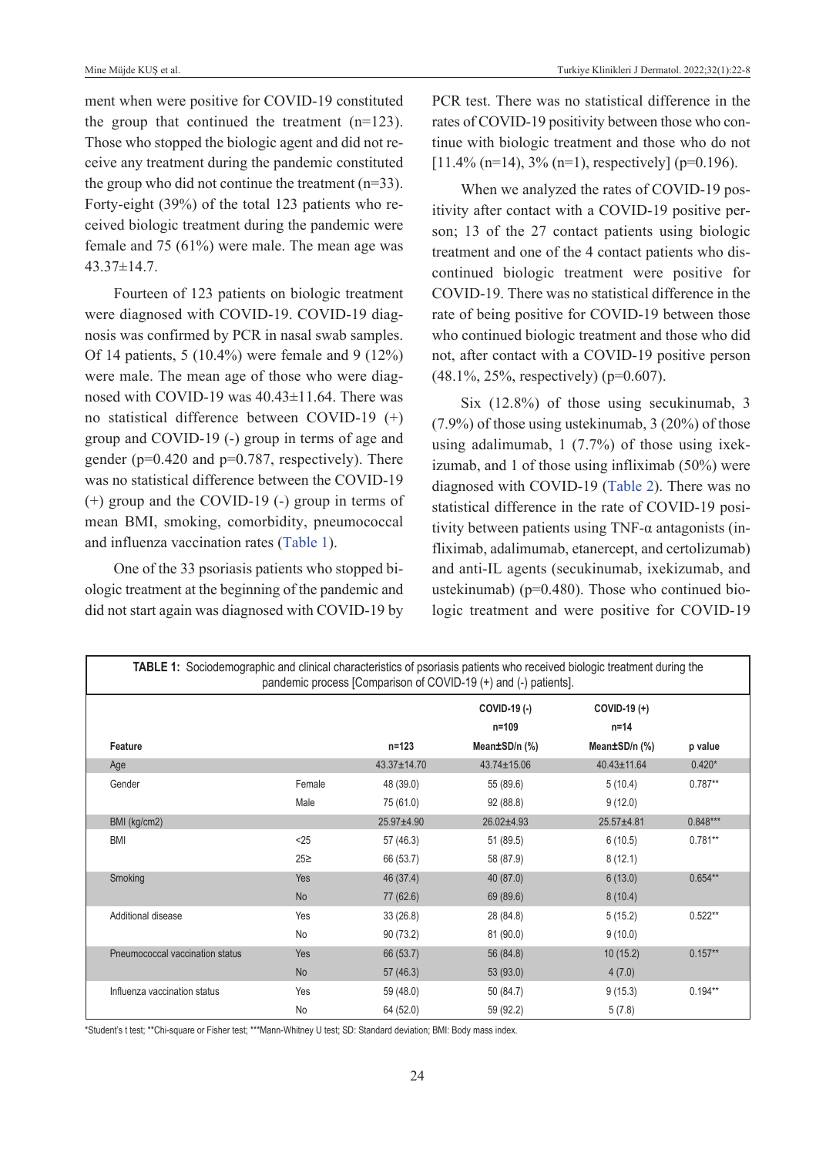ment when were positive for COVID-19 constituted the group that continued the treatment  $(n=123)$ . Those who stopped the biologic agent and did not receive any treatment during the pandemic constituted the group who did not continue the treatment  $(n=33)$ . Forty-eight (39%) of the total 123 patients who received biologic treatment during the pandemic were female and 75 (61%) were male. The mean age was 43.37±14.7.

Fourteen of 123 patients on biologic treatment were diagnosed with COVID-19. COVID-19 diagnosis was confirmed by PCR in nasal swab samples. Of 14 patients, 5 (10.4%) were female and 9 (12%) were male. The mean age of those who were diagnosed with COVID-19 was 40.43±11.64. There was no statistical difference between COVID-19 (+) group and COVID-19 (-) group in terms of age and gender (p=0.420 and p=0.787, respectively). There was no statistical difference between the COVID-19 (+) group and the COVID-19 (-) group in terms of mean BMI, smoking, comorbidity, pneumococcal and influenza vaccination rates [\(Table 1\)](#page-2-0).

One of the 33 psoriasis patients who stopped biologic treatment at the beginning of the pandemic and did not start again was diagnosed with COVID-19 by PCR test. There was no statistical difference in the rates of COVID-19 positivity between those who continue with biologic treatment and those who do not  $[11.4\%$  (n=14), 3% (n=1), respectively] (p=0.196).

When we analyzed the rates of COVID-19 positivity after contact with a COVID-19 positive person; 13 of the 27 contact patients using biologic treatment and one of the 4 contact patients who discontinued biologic treatment were positive for COVID-19. There was no statistical difference in the rate of being positive for COVID-19 between those who continued biologic treatment and those who did not, after contact with a COVID-19 positive person (48.1%, 25%, respectively) (p=0.607).

<span id="page-2-0"></span>Six (12.8%) of those using secukinumab, 3 (7.9%) of those using ustekinumab, 3 (20%) of those using adalimumab, 1 (7.7%) of those using ixekizumab, and 1 of those using infliximab (50%) were diagnosed with COVID-19 [\(Table 2\)](#page-3-0). There was no statistical difference in the rate of COVID-19 positivity between patients using TNF-α antagonists (infliximab, adalimumab, etanercept, and certolizumab) and anti-IL agents (secukinumab, ixekizumab, and ustekinumab) (p=0.480). Those who continued biologic treatment and were positive for COVID-19

| <b>TABLE 1:</b> Sociodemographic and clinical characteristics of psoriasis patients who received biologic treatment during the |                 |                   | pandemic process [Comparison of COVID-19 (+) and (-) patients]. |                                           |            |
|--------------------------------------------------------------------------------------------------------------------------------|-----------------|-------------------|-----------------------------------------------------------------|-------------------------------------------|------------|
| Feature                                                                                                                        |                 | $n = 123$         | COVID-19 (-)<br>$n = 109$<br>Mean±SD/n (%)                      | COVID-19 (+)<br>$n = 14$<br>Mean±SD/n (%) | p value    |
| Age                                                                                                                            |                 | $43.37 \pm 14.70$ | $43.74 \pm 15.06$                                               | $40.43 \pm 11.64$                         | $0.420*$   |
| Gender                                                                                                                         | Female          | 48 (39.0)         | 55 (89.6)                                                       | 5(10.4)                                   | $0.787**$  |
|                                                                                                                                | Male            | 75 (61.0)         | 92(88.8)                                                        | 9(12.0)                                   |            |
| BMI (kg/cm2)                                                                                                                   |                 | 25.97±4.90        | 26.02±4.93                                                      | 25.57±4.81                                | $0.848***$ |
| <b>BMI</b>                                                                                                                     | < 25            | 57 (46.3)         | 51 (89.5)                                                       | 6(10.5)                                   | $0.781**$  |
|                                                                                                                                | 25 <sup>2</sup> | 66 (53.7)         | 58 (87.9)                                                       | 8(12.1)                                   |            |
| Smoking                                                                                                                        | <b>Yes</b>      | 46 (37.4)         | 40 (87.0)                                                       | 6(13.0)                                   | $0.654**$  |
|                                                                                                                                | <b>No</b>       | 77 (62.6)         | 69 (89.6)                                                       | 8(10.4)                                   |            |
| Additional disease                                                                                                             | Yes             | 33(26.8)          | 28 (84.8)                                                       | 5(15.2)                                   | $0.522**$  |
|                                                                                                                                | No              | 90(73.2)          | 81 (90.0)                                                       | 9(10.0)                                   |            |
| Pneumococcal vaccination status                                                                                                | Yes             | 66 (53.7)         | 56 (84.8)                                                       | 10(15.2)                                  | $0.157**$  |
|                                                                                                                                | <b>No</b>       | 57(46.3)          | 53 (93.0)                                                       | 4(7.0)                                    |            |
| Influenza vaccination status                                                                                                   | Yes             | 59 (48.0)         | 50 (84.7)                                                       | 9(15.3)                                   | $0.194**$  |
|                                                                                                                                | No              | 64 (52.0)         | 59 (92.2)                                                       | 5(7.8)                                    |            |

\*Student's t test; \*\*Chi-square or Fisher test; \*\*\*Mann-Whitney U test; SD: Standard deviation; BMI: Body mass index.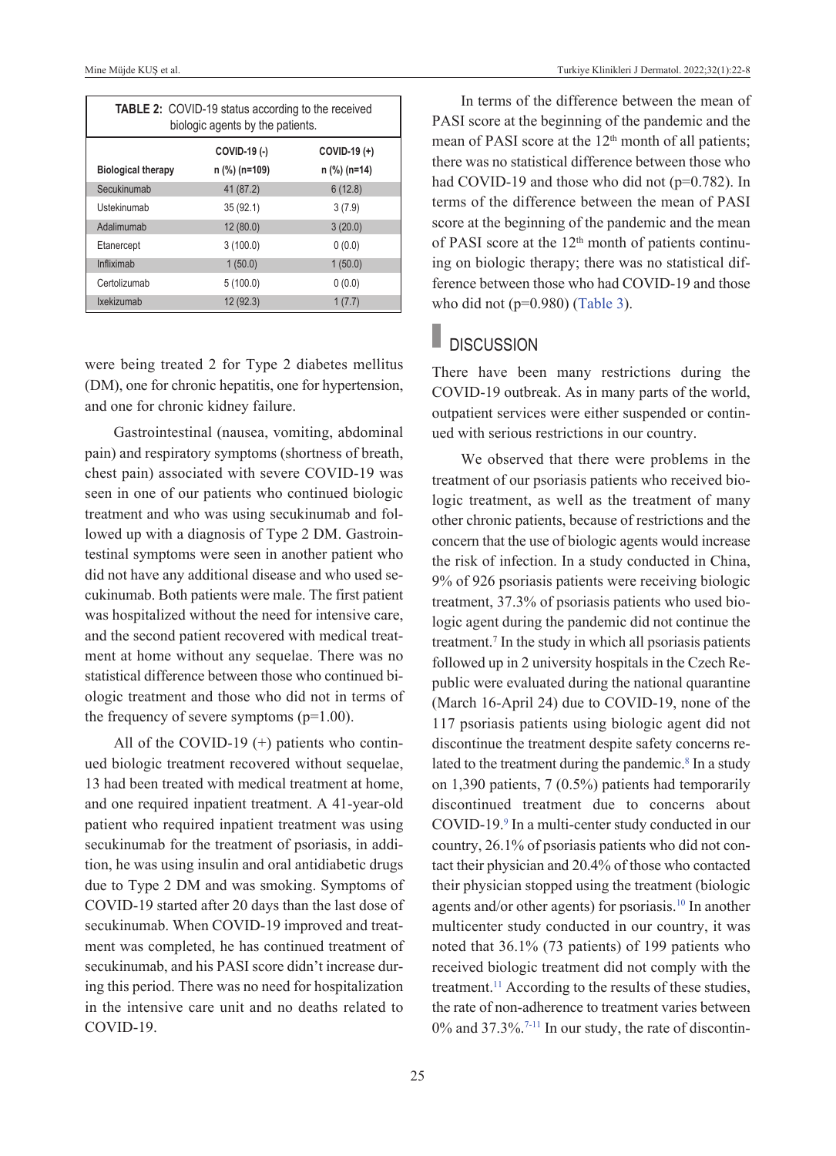| <b>TABLE 2:</b> COVID-19 status according to the received<br>biologic agents by the patients. |               |              |  |  |  |
|-----------------------------------------------------------------------------------------------|---------------|--------------|--|--|--|
|                                                                                               | COVID-19 (-)  | COVID-19 (+) |  |  |  |
| <b>Biological therapy</b>                                                                     | n (%) (n=109) | n (%) (n=14) |  |  |  |
| Secukinumab                                                                                   | 41 (87.2)     | 6(12.8)      |  |  |  |
| Ustekinumab                                                                                   | 35(92.1)      | 3(7.9)       |  |  |  |
| Adalimumab                                                                                    | 12(80.0)      | 3(20.0)      |  |  |  |
| Etanercept                                                                                    | 3(100.0)      | 0(0.0)       |  |  |  |
| Infliximab                                                                                    | 1(50.0)       | 1(50.0)      |  |  |  |
| Certolizumab                                                                                  | 5(100.0)      | 0(0.0)       |  |  |  |
| Ixekizumab                                                                                    | 12(92.3)      | 1(7.7)       |  |  |  |

were being treated 2 for Type 2 diabetes mellitus (DM), one for chronic hepatitis, one for hypertension, and one for chronic kidney failure.

Gastrointestinal (nausea, vomiting, abdominal pain) and respiratory symptoms (shortness of breath, chest pain) associated with severe COVID-19 was seen in one of our patients who continued biologic treatment and who was using secukinumab and followed up with a diagnosis of Type 2 DM. Gastrointestinal symptoms were seen in another patient who did not have any additional disease and who used secukinumab. Both patients were male. The first patient was hospitalized without the need for intensive care, and the second patient recovered with medical treatment at home without any sequelae. There was no statistical difference between those who continued biologic treatment and those who did not in terms of the frequency of severe symptoms  $(p=1.00)$ .

All of the COVID-19  $(+)$  patients who continued biologic treatment recovered without sequelae, 13 had been treated with medical treatment at home, and one required inpatient treatment. A 41-year-old patient who required inpatient treatment was using secukinumab for the treatment of psoriasis, in addition, he was using insulin and oral antidiabetic drugs due to Type 2 DM and was smoking. Symptoms of COVID-19 started after 20 days than the last dose of secukinumab. When COVID-19 improved and treatment was completed, he has continued treatment of secukinumab, and his PASI score didn't increase during this period. There was no need for hospitalization in the intensive care unit and no deaths related to COVID-19.

<span id="page-3-0"></span>In terms of the difference between the mean of PASI score at the beginning of the pandemic and the mean of PASI score at the  $12<sup>th</sup>$  month of all patients; there was no statistical difference between those who had COVID-19 and those who did not (p=0.782). In terms of the difference between the mean of PASI score at the beginning of the pandemic and the mean of PASI score at the  $12<sup>th</sup>$  month of patients continuing on biologic therapy; there was no statistical difference between those who had COVID-19 and those who did not (p=0.980) [\(Table 3\)](#page-4-0).

# **DISCUSSION**

There have been many restrictions during the COVID-19 outbreak. As in many parts of the world, outpatient services were either suspended or continued with serious restrictions in our country.

We observed that there were problems in the treatment of our psoriasis patients who received biologic treatment, as well as the treatment of many other chronic patients, because of restrictions and the concern that the use of biologic agents would increase the risk of infection. In a study conducted in China, 9% of 926 psoriasis patients were receiving biologic treatment, 37.3% of psoriasis patients who used biologic agent during the pandemic did not continue the treatment.7 In the study in which all psoriasis patients followed up in 2 university hospitals in the Czech Republic were evaluated during the national quarantine (March 16-April 24) due to COVID-19, none of the 117 psoriasis patients using biologic agent did not discontinue the treatment despite safety concerns related to the treatment during the pandemic.<sup>8</sup> In a study on 1,390 patients, 7 (0.5%) patients had temporarily discontinued treatment due to concerns about COVID-19.<sup>9</sup> In a multi-center study conducted in our country, 26.1% of psoriasis patients who did not contact their physician and 20.4% of those who contacted their physician stopped using the treatment (biologic agents and/or other agents) for psoriasis[.10](#page-6-0) In another multicenter study conducted in our country, it was noted that 36.1% (73 patients) of 199 patients who received biologic treatment did not comply with the treatment.<sup>11</sup> According to the results of these studies, the rate of non-adherence to treatment varies between 0% and 37.3%.<sup>7-11</sup> In our study, the rate of discontin-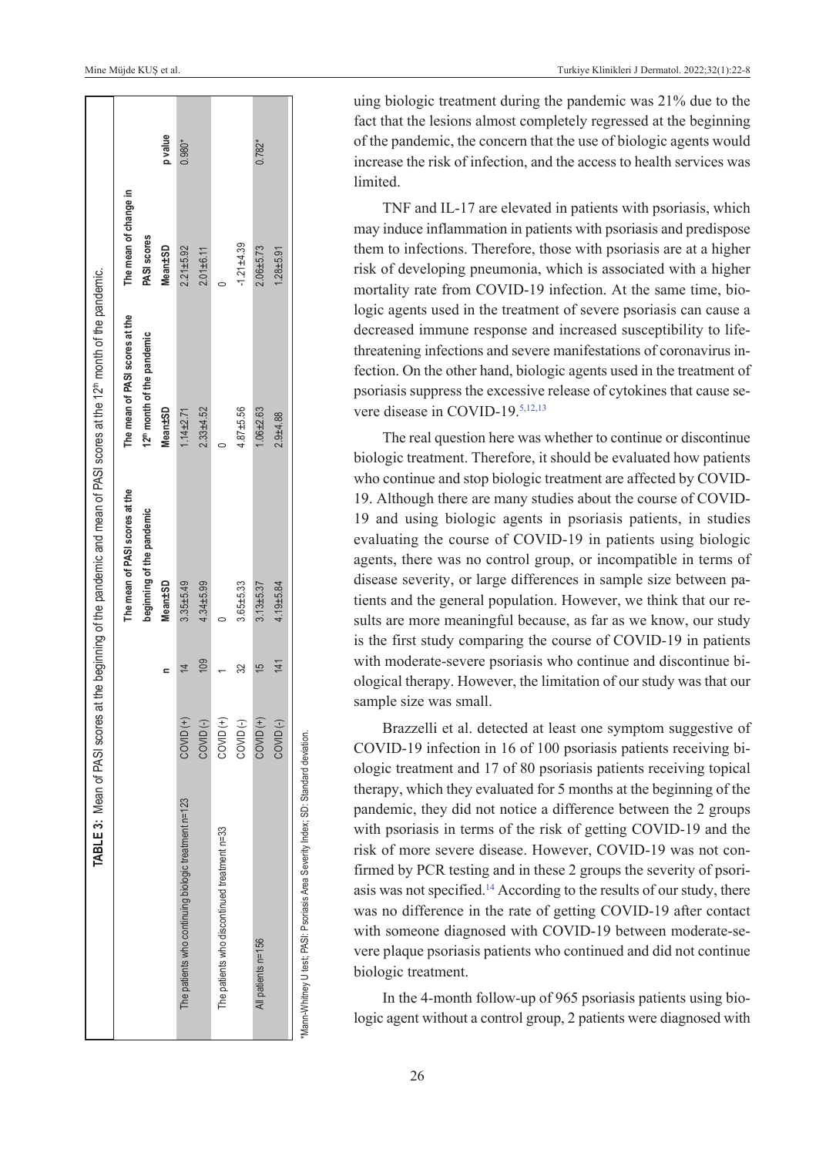| TABLE 3: Mean of PASI                                |                      |                | scores at the beginning of the pandemic and mean of PASI scores at the 12 <sup>th</sup> month of the pandemic. |                                                                          |                                      |          |
|------------------------------------------------------|----------------------|----------------|----------------------------------------------------------------------------------------------------------------|--------------------------------------------------------------------------|--------------------------------------|----------|
|                                                      |                      |                | The mean of PASI scores at the<br>beginning of the pandemic                                                    | The mean of PASI scores at the<br>12 <sup>th</sup> month of the pandemic | The mean of change in<br>PASI scores |          |
|                                                      |                      |                | <b>Mean±SD</b>                                                                                                 | <b>Mean±SD</b>                                                           | Mean±SD                              | p value  |
| The patients who continuing biologic treatment n=123 | $COVID (+)$          |                | $3.35 + 5.49$                                                                                                  | $1.14 + 2.71$                                                            | $2.21 + 5.92$                        | $0.980*$ |
|                                                      | COVID <sub>(-)</sub> | 109            | $4.34 + 5.99$                                                                                                  | $2.33 + 4.52$                                                            | $2.01 + 6.11$                        |          |
| The patients who discontinued treatment n=33         | COVID <sup>(+)</sup> |                |                                                                                                                |                                                                          |                                      |          |
|                                                      | COVID <sub>(-)</sub> | 32             | $3.65 + 5.33$                                                                                                  | $4.87 + 5.56$                                                            | $-1.21 + 4.39$                       |          |
| All patients n=156                                   | COVID <sup>(+)</sup> | $\overline{5}$ | $3.13 + 5.37$                                                                                                  | $1.06 + 2.63$                                                            | $2.06 + 5.73$                        | $0.782*$ |
|                                                      | COVID <sub>(-)</sub> | 141            | $4.19 + 5.84$                                                                                                  | $2.9 + 4.88$                                                             | $1.28 + 5.91$                        |          |
| .<br>.<br>.                                          |                      |                |                                                                                                                |                                                                          |                                      |          |

\*Mann-Whitney U test; PASI: Psoriasis Area Severity Index; SD: Standard deviation.Mann-Whitney U test; PASI: Psoriasis Area Severity Index; SD: Standard deviation

uing biologic treatment during the pandemic was 21% due to the fact that the lesions almost completely regressed at the beginning of the pandemic, the concern that the use of biologic agents would increase the risk of infection, and the access to health services was limited.

TNF and IL-17 are elevated in patients with psoriasis, which may induce inflammation in patients with psoriasis and predispose them to infections. Therefore, those with psoriasis are at a higher risk of developing pneumonia, which is associated with a higher mortality rate from COVID-19 infection. At the same time, biologic agents used in the treatment of severe psoriasis can cause a decreased immune response and increased susceptibility to lifethreatening infections and severe manifestations of coronavirus infection. On the other hand, biologic agents used in the treatment of psoriasis suppress the excessive release of cytokines that cause severe disease in COVID-19[.5,12,13](#page-6-0)

<span id="page-4-0"></span>The real question here was whether to continue or discontinue biologic treatment. Therefore, it should be evaluated how patients who continue and stop biologic treatment are affected by COVID-19. Although there are many studies about the course of COVID-19 and using biologic agents in psoriasis patients, in studies evaluating the course of COVID-19 in patients using biologic agents, there was no control group, or incompatible in terms of disease severity, or large differences in sample size between patients and the general population. However, we think that our results are more meaningful because, as far as we know, our study is the first study comparing the course of COVID-19 in patients with moderate-severe psoriasis who continue and discontinue biological therapy. However, the limitation of our study was that our sample size was small.

Brazzelli et al. detected at least one symptom suggestive of COVID-19 infection in 16 of 100 psoriasis patients receiving biologic treatment and 17 of 80 psoriasis patients receiving topical therapy, which they evaluated for 5 months at the beginning of the pandemic, they did not notice a difference between the 2 groups with psoriasis in terms of the risk of getting COVID-19 and the risk of more severe disease. However, COVID-19 was not confirmed by PCR testing and in these 2 groups the severity of psoriasis was not specified.<sup>14</sup> According to the results of our study, there was no difference in the rate of getting COVID-19 after contact with someone diagnosed with COVID-19 between moderate-severe plaque psoriasis patients who continued and did not continue biologic treatment.

In the 4-month follow-up of 965 psoriasis patients using biologic agent without a control group, 2 patients were diagnosed with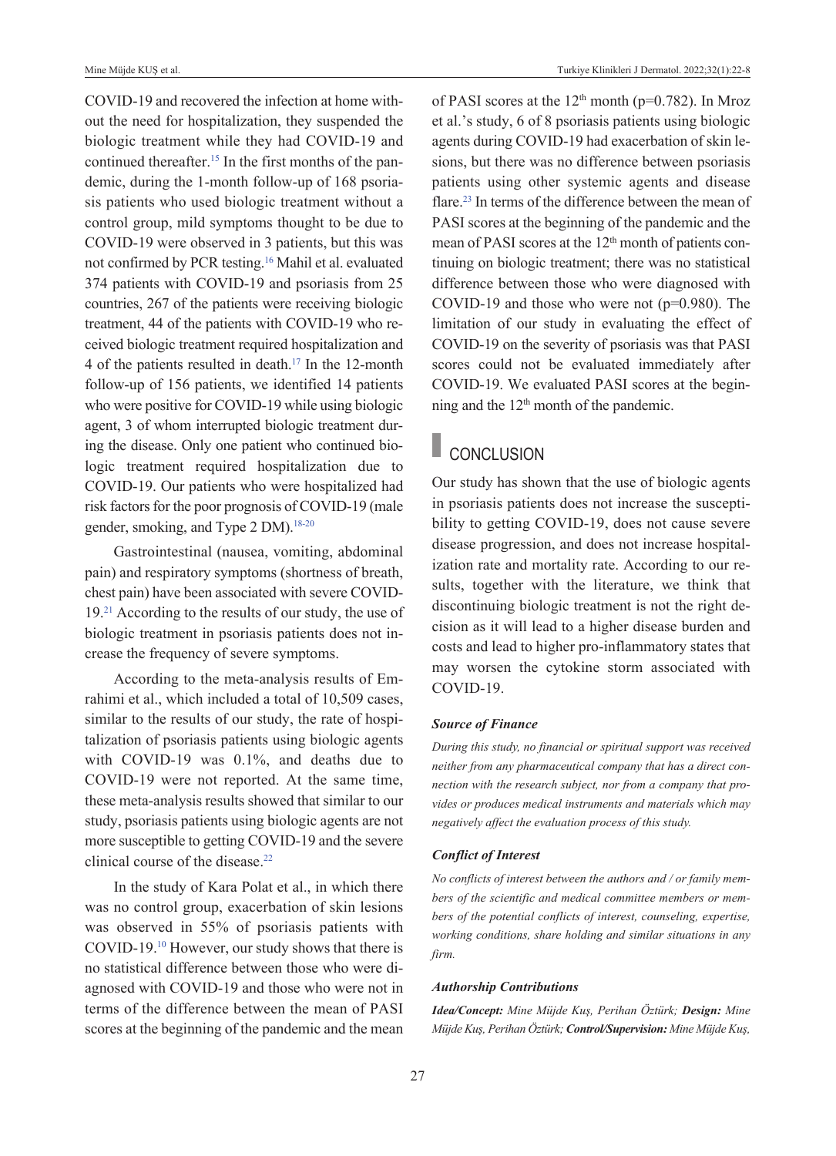COVID-19 and recovered the infection at home without the need for hospitalization, they suspended the biologic treatment while they had COVID-19 and continued thereafter.<sup>15</sup> In the first months of the pandemic, during the 1-month follow-up of 168 psoriasis patients who used biologic treatment without a control group, mild symptoms thought to be due to COVID-19 were observed in 3 patients, but this was not confirmed by PCR testing[.16](#page-6-0) Mahil et al. evaluated 374 patients with COVID-19 and psoriasis from 25 countries, 267 of the patients were receiving biologic treatment, 44 of the patients with COVID-19 who received biologic treatment required hospitalization and 4 of the patients resulted in death[.17](#page-6-0) In the 12-month follow-up of 156 patients, we identified 14 patients who were positive for COVID-19 while using biologic agent, 3 of whom interrupted biologic treatment during the disease. Only one patient who continued biologic treatment required hospitalization due to COVID-19. Our patients who were hospitalized had risk factors for the poor prognosis of COVID-19 (male gender, smoking, and Type 2 DM).<sup>18-20</sup>

Gastrointestinal (nausea, vomiting, abdominal pain) and respiratory symptoms (shortness of breath, chest pain) have been associated with severe COVID-19[.21](#page-6-0) According to the results of our study, the use of biologic treatment in psoriasis patients does not increase the frequency of severe symptoms.

According to the meta-analysis results of Emrahimi et al., which included a total of 10,509 cases, similar to the results of our study, the rate of hospitalization of psoriasis patients using biologic agents with COVID-19 was 0.1%, and deaths due to COVID-19 were not reported. At the same time, these meta-analysis results showed that similar to our study, psoriasis patients using biologic agents are not more susceptible to getting COVID-19 and the severe clinical course of the disease.<sup>22</sup>

In the study of Kara Polat et al., in which there was no control group, exacerbation of skin lesions was observed in 55% of psoriasis patients with COVID-19[.10](#page-6-0) However, our study shows that there is no statistical difference between those who were diagnosed with COVID-19 and those who were not in terms of the difference between the mean of PASI scores at the beginning of the pandemic and the mean of PASI scores at the  $12<sup>th</sup>$  month (p=0.782). In Mroz et al.'s study, 6 of 8 psoriasis patients using biologic agents during COVID-19 had exacerbation of skin lesions, but there was no difference between psoriasis patients using other systemic agents and disease flare[.23](#page-6-0) In terms of the difference between the mean of PASI scores at the beginning of the pandemic and the mean of PASI scores at the  $12<sup>th</sup>$  month of patients continuing on biologic treatment; there was no statistical difference between those who were diagnosed with COVID-19 and those who were not (p=0.980). The limitation of our study in evaluating the effect of COVID-19 on the severity of psoriasis was that PASI scores could not be evaluated immediately after COVID-19. We evaluated PASI scores at the beginning and the 12th month of the pandemic.

### CONCLUSION

Our study has shown that the use of biologic agents in psoriasis patients does not increase the susceptibility to getting COVID-19, does not cause severe disease progression, and does not increase hospitalization rate and mortality rate. According to our results, together with the literature, we think that discontinuing biologic treatment is not the right decision as it will lead to a higher disease burden and costs and lead to higher pro-inflammatory states that may worsen the cytokine storm associated with COVID-19.

#### *Source of Finance*

*During this study, no financial or spiritual support was received neither from any pharmaceutical company that has a direct connection with the research subject, nor from a company that provides or produces medical instruments and materials which may negatively affect the evaluation process of this study.* 

#### *Conflict of Interest*

*No conflicts of interest between the authors and / or family members of the scientific and medical committee members or members of the potential conflicts of interest, counseling, expertise, working conditions, share holding and similar situations in any firm.* 

#### *Authorship Contributions*

*Idea/Concept: Mine Müjde Kuş, Perihan Öztürk; Design: Mine Müjde Kuş, Perihan Öztürk; Control/Supervision: Mine Müjde Kuş,*